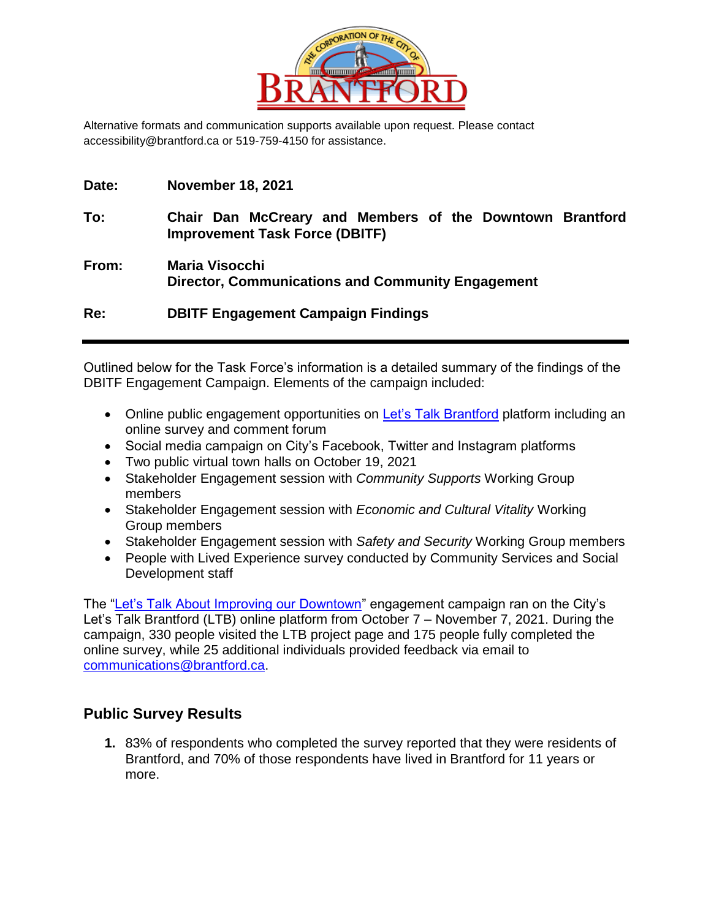

Alternative formats and communication supports available upon request. Please contact accessibility@brantford.ca or 519-759-4150 for assistance.

| Date: | <b>November 18, 2021</b> |
|-------|--------------------------|
|-------|--------------------------|

- **To: Chair Dan McCreary and Members of the Downtown Brantford Improvement Task Force (DBITF)**
- **From: Maria Visocchi Director, Communications and Community Engagement**

**Re: DBITF Engagement Campaign Findings** 

Outlined below for the Task Force's information is a detailed summary of the findings of the DBITF Engagement Campaign. Elements of the campaign included:

- Online public engagement opportunities on [Let's Talk Brantford](https://letstalkbrantford.ca/downtownimprovement) platform including an online survey and comment forum
- Social media campaign on City's Facebook, Twitter and Instagram platforms
- Two public virtual town halls on October 19, 2021
- Stakeholder Engagement session with *Community Supports* Working Group members
- Stakeholder Engagement session with *Economic and Cultural Vitality* Working Group members
- Stakeholder Engagement session with *Safety and Security* Working Group members
- People with Lived Experience survey conducted by Community Services and Social Development staff

The ["Let's Talk About Improving our Downtown"](https://letstalkbrantford.ca/downtownimprovement) engagement campaign ran on the City's Let's Talk Brantford (LTB) online platform from October 7 – November 7, 2021. During the campaign, 330 people visited the LTB project page and 175 people fully completed the online survey, while 25 additional individuals provided feedback via email to [communications@brantford.ca.](mailto:communications@brantford.ca)

# **Public Survey Results**

**1.** 83% of respondents who completed the survey reported that they were residents of Brantford, and 70% of those respondents have lived in Brantford for 11 years or more.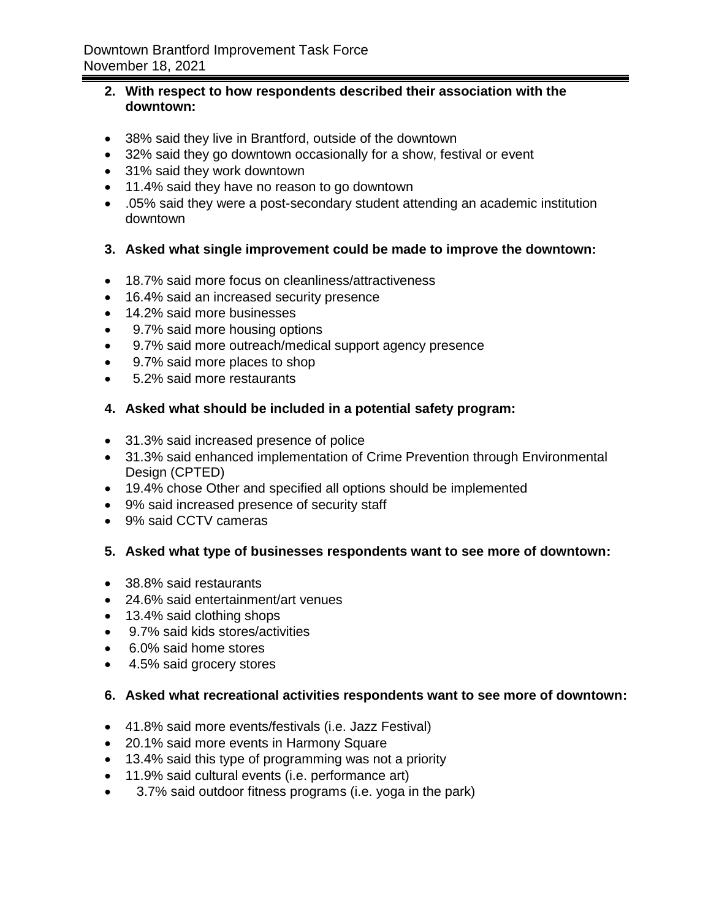### **2. With respect to how respondents described their association with the downtown:**

- 38% said they live in Brantford, outside of the downtown
- 32% said they go downtown occasionally for a show, festival or event
- 31% said they work downtown
- 11.4% said they have no reason to go downtown
- .05% said they were a post-secondary student attending an academic institution downtown

## **3. Asked what single improvement could be made to improve the downtown:**

- 18.7% said more focus on cleanliness/attractiveness
- 16.4% said an increased security presence
- 14.2% said more businesses
- 9.7% said more housing options
- 9.7% said more outreach/medical support agency presence
- 9.7% said more places to shop
- 5.2% said more restaurants
- **4. Asked what should be included in a potential safety program:**
- 31.3% said increased presence of police
- 31.3% said enhanced implementation of Crime Prevention through Environmental Design (CPTED)
- 19.4% chose Other and specified all options should be implemented
- 9% said increased presence of security staff
- 9% said CCTV cameras

### **5. Asked what type of businesses respondents want to see more of downtown:**

- 38.8% said restaurants
- 24.6% said entertainment/art venues
- 13.4% said clothing shops
- 9.7% said kids stores/activities
- 6.0% said home stores
- 4.5% said grocery stores

### **6. Asked what recreational activities respondents want to see more of downtown:**

- 41.8% said more events/festivals (i.e. Jazz Festival)
- 20.1% said more events in Harmony Square
- 13.4% said this type of programming was not a priority
- 11.9% said cultural events (i.e. performance art)
- 3.7% said outdoor fitness programs (i.e. yoga in the park)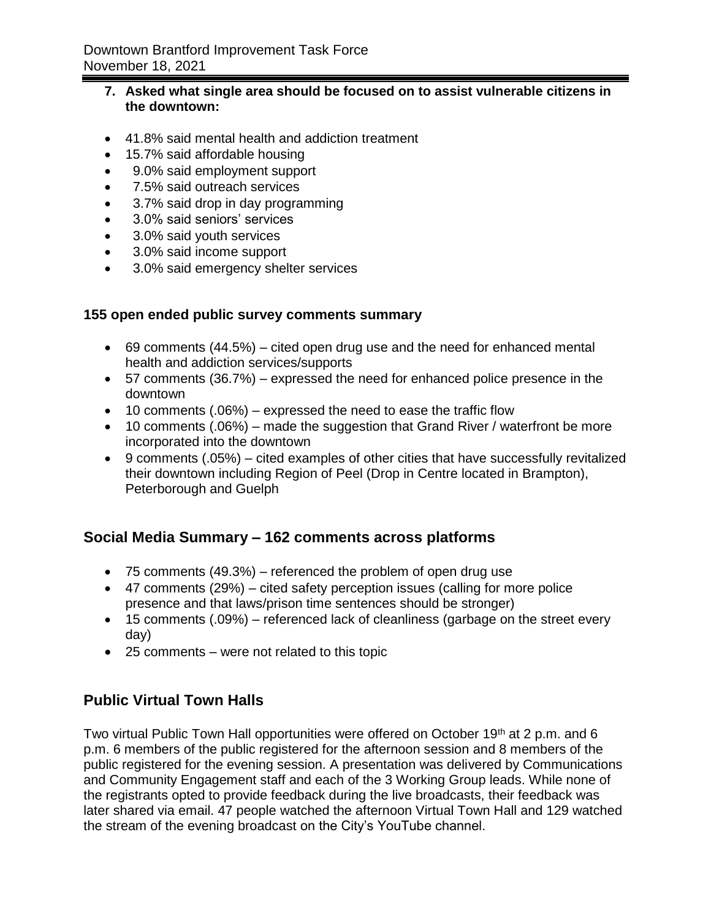### **7. Asked what single area should be focused on to assist vulnerable citizens in the downtown:**

- 41.8% said mental health and addiction treatment
- 15.7% said affordable housing
- 9.0% said employment support
- 7.5% said outreach services
- 3.7% said drop in day programming
- 3.0% said seniors' services
- 3.0% said youth services
- 3.0% said income support
- 3.0% said emergency shelter services

## **155 open ended public survey comments summary**

- $\bullet$  69 comments (44.5%) cited open drug use and the need for enhanced mental health and addiction services/supports
- 57 comments (36.7%) expressed the need for enhanced police presence in the downtown
- $\bullet$  10 comments (.06%) expressed the need to ease the traffic flow
- $\bullet$  10 comments (.06%) made the suggestion that Grand River / waterfront be more incorporated into the downtown
- 9 comments (.05%) cited examples of other cities that have successfully revitalized their downtown including Region of Peel (Drop in Centre located in Brampton), Peterborough and Guelph

# **Social Media Summary – 162 comments across platforms**

- 75 comments (49.3%) referenced the problem of open drug use
- 47 comments (29%) cited safety perception issues (calling for more police presence and that laws/prison time sentences should be stronger)
- 15 comments (.09%) referenced lack of cleanliness (garbage on the street every day)
- 25 comments were not related to this topic

# **Public Virtual Town Halls**

Two virtual Public Town Hall opportunities were offered on October 19<sup>th</sup> at 2 p.m. and 6 p.m. 6 members of the public registered for the afternoon session and 8 members of the public registered for the evening session. A presentation was delivered by Communications and Community Engagement staff and each of the 3 Working Group leads. While none of the registrants opted to provide feedback during the live broadcasts, their feedback was later shared via email. 47 people watched the afternoon Virtual Town Hall and 129 watched the stream of the evening broadcast on the City's YouTube channel.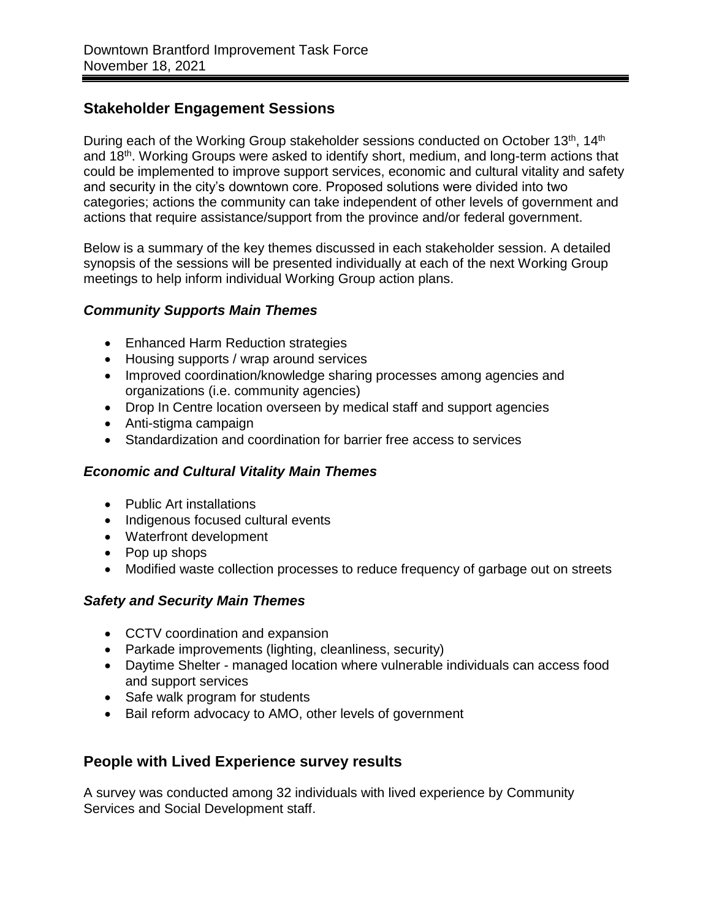# **Stakeholder Engagement Sessions**

During each of the Working Group stakeholder sessions conducted on October 13<sup>th</sup>, 14<sup>th</sup> and 18<sup>th</sup>. Working Groups were asked to identify short, medium, and long-term actions that could be implemented to improve support services, economic and cultural vitality and safety and security in the city's downtown core. Proposed solutions were divided into two categories; actions the community can take independent of other levels of government and actions that require assistance/support from the province and/or federal government.

Below is a summary of the key themes discussed in each stakeholder session. A detailed synopsis of the sessions will be presented individually at each of the next Working Group meetings to help inform individual Working Group action plans.

## *Community Supports Main Themes*

- Enhanced Harm Reduction strategies
- Housing supports / wrap around services
- Improved coordination/knowledge sharing processes among agencies and organizations (i.e. community agencies)
- Drop In Centre location overseen by medical staff and support agencies
- Anti-stigma campaign
- Standardization and coordination for barrier free access to services

## *Economic and Cultural Vitality Main Themes*

- Public Art installations
- Indigenous focused cultural events
- Waterfront development
- Pop up shops
- Modified waste collection processes to reduce frequency of garbage out on streets

## *Safety and Security Main Themes*

- CCTV coordination and expansion
- Parkade improvements (lighting, cleanliness, security)
- Daytime Shelter managed location where vulnerable individuals can access food and support services
- Safe walk program for students
- Bail reform advocacy to AMO, other levels of government

# **People with Lived Experience survey results**

A survey was conducted among 32 individuals with lived experience by Community Services and Social Development staff.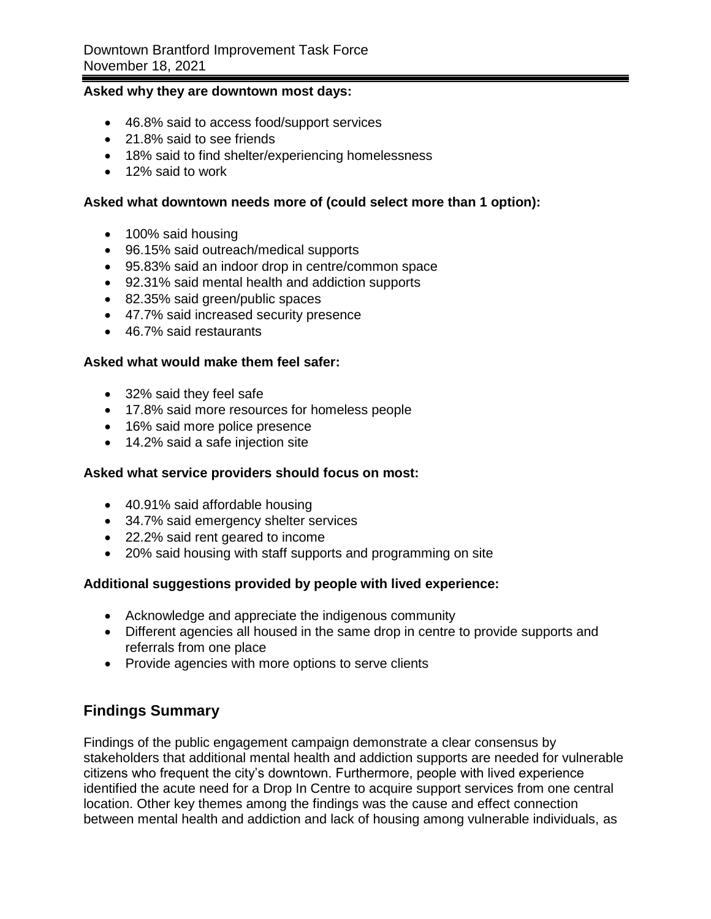#### **Asked why they are downtown most days:**

- 46.8% said to access food/support services
- 21.8% said to see friends
- 18% said to find shelter/experiencing homelessness
- 12% said to work

#### **Asked what downtown needs more of (could select more than 1 option):**

- 100% said housing
- 96.15% said outreach/medical supports
- 95.83% said an indoor drop in centre/common space
- 92.31% said mental health and addiction supports
- 82.35% said green/public spaces
- 47.7% said increased security presence
- 46.7% said restaurants

#### **Asked what would make them feel safer:**

- 32% said they feel safe
- 17.8% said more resources for homeless people
- 16% said more police presence
- 14.2% said a safe injection site

#### **Asked what service providers should focus on most:**

- 40.91% said affordable housing
- 34.7% said emergency shelter services
- 22.2% said rent geared to income
- 20% said housing with staff supports and programming on site

### **Additional suggestions provided by people with lived experience:**

- Acknowledge and appreciate the indigenous community
- Different agencies all housed in the same drop in centre to provide supports and referrals from one place
- Provide agencies with more options to serve clients

## **Findings Summary**

Findings of the public engagement campaign demonstrate a clear consensus by stakeholders that additional mental health and addiction supports are needed for vulnerable citizens who frequent the city's downtown. Furthermore, people with lived experience identified the acute need for a Drop In Centre to acquire support services from one central location. Other key themes among the findings was the cause and effect connection between mental health and addiction and lack of housing among vulnerable individuals, as